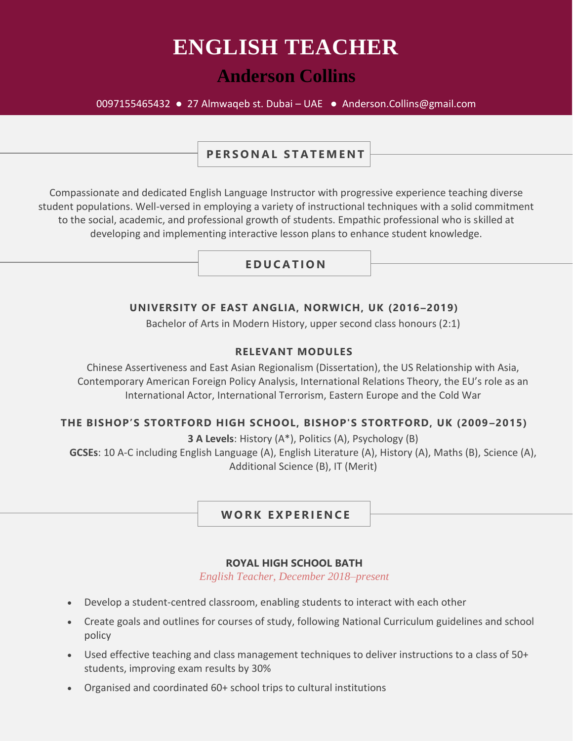# **ENGLISH TEACHER**

# **Anderson Collins**

#### 0097155465432 ● 27 Almwaqeb st. Dubai – UAE ● Anderson.Collins@gmail.com

## **PERSONAL STATEMENT**

Compassionate and dedicated English Language Instructor with progressive experience teaching diverse student populations. Well-versed in employing a variety of instructional techniques with a solid commitment to the social, academic, and professional growth of students. Empathic professional who is skilled at developing and implementing interactive lesson plans to enhance student knowledge.

## **E D U C A T I O N**

#### **UNIVERSITY OF EAST ANGLIA, NORWICH, UK (2016–2019)**

Bachelor of Arts in Modern History, upper second class honours (2:1)

#### **RELEVANT MODULES**

Chinese Assertiveness and East Asian Regionalism (Dissertation), the US Relationship with Asia, Contemporary American Foreign Policy Analysis, International Relations Theory, the EU's role as an International Actor, International Terrorism, Eastern Europe and the Cold War

#### **THE BISHOP'S STORTFORD HIGH SCHOOL, BISHOP'S STORTFORD, UK (2009 –2015)**

**3 A Levels**: History (A\*), Politics (A), Psychology (B)

**GCSEs**: 10 A-C including English Language (A), English Literature (A), History (A), Maths (B), Science (A), Additional Science (B), IT (Merit)

WORK EXPERIENCE

#### **ROYAL HIGH SCHOOL BATH**

*English Teacher, December 2018–present*

- Develop a student-centred classroom, enabling students to interact with each other
- Create goals and outlines for courses of study, following National Curriculum guidelines and school policy
- Used effective teaching and class management techniques to deliver instructions to a class of 50+ students, improving exam results by 30%
- Organised and coordinated 60+ school trips to cultural institutions